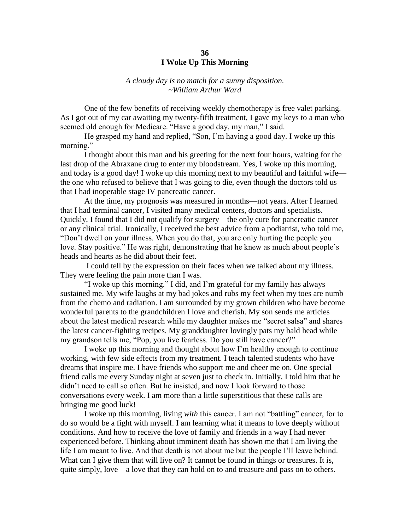## **36 I Woke Up This Morning**

## *A cloudy day is no match for a sunny disposition. ~William Arthur Ward*

One of the few benefits of receiving weekly chemotherapy is free valet parking. As I got out of my car awaiting my twenty-fifth treatment, I gave my keys to a man who seemed old enough for Medicare. "Have a good day, my man," I said.

He grasped my hand and replied, "Son, I'm having a good day. I woke up this morning."

I thought about this man and his greeting for the next four hours, waiting for the last drop of the Abraxane drug to enter my bloodstream. Yes, I woke up this morning, and today is a good day! I woke up this morning next to my beautiful and faithful wife the one who refused to believe that I was going to die, even though the doctors told us that I had inoperable stage IV pancreatic cancer.

At the time, my prognosis was measured in months—not years. After I learned that I had terminal cancer, I visited many medical centers, doctors and specialists. Quickly, I found that I did not qualify for surgery—the only cure for pancreatic cancer or any clinical trial. Ironically, I received the best advice from a podiatrist, who told me, "Don't dwell on your illness. When you do that, you are only hurting the people you love. Stay positive." He was right, demonstrating that he knew as much about people's heads and hearts as he did about their feet.

I could tell by the expression on their faces when we talked about my illness. They were feeling the pain more than I was.

"I woke up this morning." I did, and I'm grateful for my family has always sustained me. My wife laughs at my bad jokes and rubs my feet when my toes are numb from the chemo and radiation. I am surrounded by my grown children who have become wonderful parents to the grandchildren I love and cherish. My son sends me articles about the latest medical research while my daughter makes me "secret salsa" and shares the latest cancer-fighting recipes. My granddaughter lovingly pats my bald head while my grandson tells me, "Pop, you live fearless. Do you still have cancer?"

I woke up this morning and thought about how I'm healthy enough to continue working, with few side effects from my treatment. I teach talented students who have dreams that inspire me. I have friends who support me and cheer me on. One special friend calls me every Sunday night at seven just to check in. Initially, I told him that he didn't need to call so often. But he insisted, and now I look forward to those conversations every week. I am more than a little superstitious that these calls are bringing me good luck!

I woke up this morning, living *with* this cancer. I am not "battling" cancer, for to do so would be a fight with myself. I am learning what it means to love deeply without conditions. And how to receive the love of family and friends in a way I had never experienced before. Thinking about imminent death has shown me that I am living the life I am meant to live. And that death is not about me but the people I'll leave behind. What can I give them that will live on? It cannot be found in things or treasures. It is, quite simply, love—a love that they can hold on to and treasure and pass on to others.